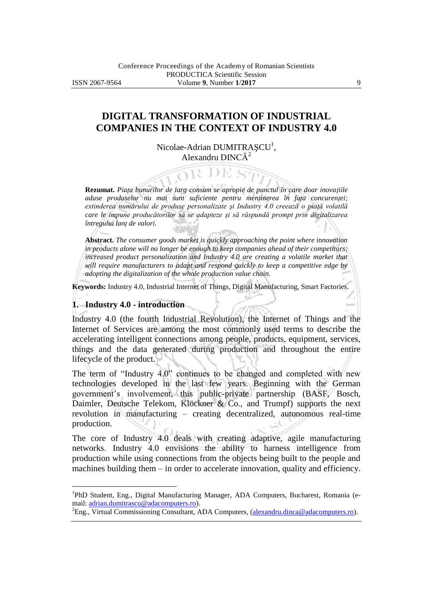# **DIGITAL TRANSFORMATION OF INDUSTRIAL COMPANIES IN THE CONTEXT OF INDUSTRY 4.0**

Nicolae-Adrian DUMITRAȘCU<sup>1</sup>, Alexandru DINC $\check{A}^2$ 

R DE S

**Rezumat.** *Piaţa bunurilor de larg consum se apropie de punctul în care doar inovaţiile aduse produselor nu mai sunt suficiente pentru menţinerea în faţa concurenţei; extinderea numărului de produse personalizate şi Industry 4.0 creează o piaţă volatilă care le impune producătorilor să se adapteze şi să răspundă prompt prin digitalizarea întregului lanţ de valori.*

**Abstract.** *The consumer goods market is quickly approaching the point where innovation in products alone will no longer be enough to keep companies ahead of their competitors; increased product personalization and Industry 4.0 are creating a volatile market that will require manufacturers to adapt and respond quickly to keep a competitive edge by adopting the digitalization of the whole production value chain.*

**Keywords:** Industry 4.0, Industrial Internet of Things, Digital Manufacturing, Smart Factories.

#### **1. Industry 4.0 - introduction**

 $\overline{a}$ 

Industry 4.0 (the fourth Industrial Revolution), the Internet of Things and the Internet of Services are among the most commonly used terms to describe the accelerating intelligent connections among people, products, equipment, services, things and the data generated during production and throughout the entire lifecycle of the product.

The term of "Industry 4.0" continues to be changed and completed with new technologies developed in the last few years. Beginning with the German government's involvement, this public-private partnership (BASF, Bosch, Daimler, Deutsche Telekom, Klöckner & Co., and Trumpf) supports the next revolution in manufacturing – creating decentralized, autonomous real-time production.

The core of Industry 4.0 deals with creating adaptive, agile manufacturing networks. Industry 4.0 envisions the ability to harness intelligence from production while using connections from the objects being built to the people and machines building them – in order to accelerate innovation, quality and efficiency.

<sup>2</sup>Eng., Virtual Commissioning Consultant, ADA Computers, [\(alexandru.dinca@adacomputers.ro\)](mailto:alexandru.dinca@adacomputers.ro).

<sup>&</sup>lt;sup>1</sup>PhD Student, Eng., Digital Manufacturing Manager, ADA Computers, Bucharest, Romania (email: [adrian.dumitrascu@adacomputers.ro\)](mailto:adrian.dumitrascu@adacomputers.ro).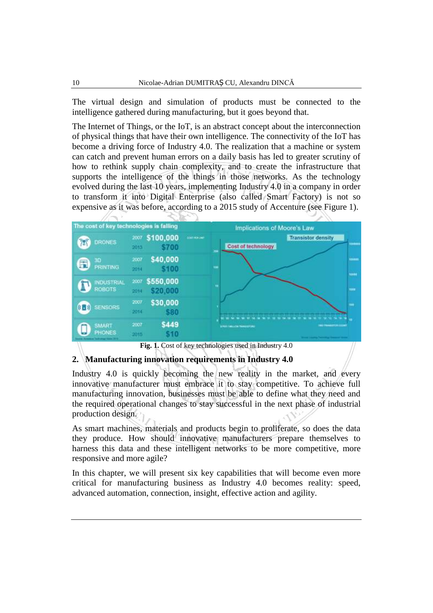The virtual design and simulation of products must be connected to the intelligence gathered during manufacturing, but it goes beyond that.

The Internet of Things, or the IoT, is an abstract concept about the interconnection of physical things that have their own intelligence. The connectivity of the IoT has become a driving force of Industry 4.0. The realization that a machine or system can catch and prevent human errors on a daily basis has led to greater scrutiny of how to rethink supply chain complexity, and to create the infrastructure that supports the intelligence of the things in those networks. As the technology evolved during the last 10 years, implementing Industry 4.0 in a company in order to transform it into Digital Enterprise (also called Smart Factory) is not so expensive as it was before, according to a 2015 study of Accenture (see Figure 1).



**2. Manufacturing innovation requirements in Industry 4.0**

Industry 4.0 is quickly becoming the new reality in the market, and every innovative manufacturer must embrace it to stay competitive. To achieve full manufacturing innovation, businesses must be able to define what they need and the required operational changes to stay successful in the next phase of industrial production design.

As smart machines, materials and products begin to proliferate, so does the data they produce. How should innovative manufacturers prepare themselves to harness this data and these intelligent networks to be more competitive, more responsive and more agile?

In this chapter, we will present six key capabilities that will become even more critical for manufacturing business as Industry 4.0 becomes reality: speed, advanced automation, connection, insight, effective action and agility.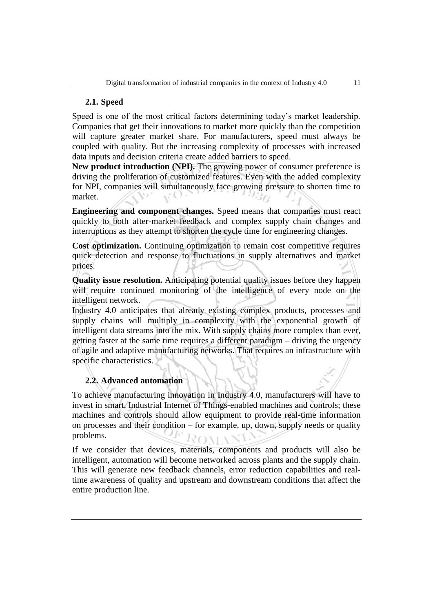## **2.1. Speed**

Speed is one of the most critical factors determining today's market leadership. Companies that get their innovations to market more quickly than the competition will capture greater market share. For manufacturers, speed must always be coupled with quality. But the increasing complexity of processes with increased data inputs and decision criteria create added barriers to speed.

**New product introduction (NPI).** The growing power of consumer preference is driving the proliferation of customized features. Even with the added complexity for NPI, companies will simultaneously face growing pressure to shorten time to market.  $U(1)$ 

**Engineering and component changes.** Speed means that companies must react quickly to both after-market feedback and complex supply chain changes and interruptions as they attempt to shorten the cycle time for engineering changes.

**Cost optimization.** Continuing optimization to remain cost competitive requires quick detection and response to fluctuations in supply alternatives and market prices.

**Quality issue resolution.** Anticipating potential quality issues before they happen will require continued monitoring of the intelligence of every node on the intelligent network.

Industry 4.0 anticipates that already existing complex products, processes and supply chains will multiply in complexity with the exponential growth of intelligent data streams into the mix. With supply chains more complex than ever, getting faster at the same time requires a different paradigm – driving the urgency of agile and adaptive manufacturing networks. That requires an infrastructure with specific characteristics.

# **2.2. Advanced automation**

To achieve manufacturing innovation in Industry 4.0, manufacturers will have to invest in smart, Industrial Internet of Things-enabled machines and controls; these machines and controls should allow equipment to provide real-time information on processes and their condition – for example, up, down, supply needs or quality problems. **COMA** 

If we consider that devices, materials, components and products will also be intelligent, automation will become networked across plants and the supply chain. This will generate new feedback channels, error reduction capabilities and realtime awareness of quality and upstream and downstream conditions that affect the entire production line.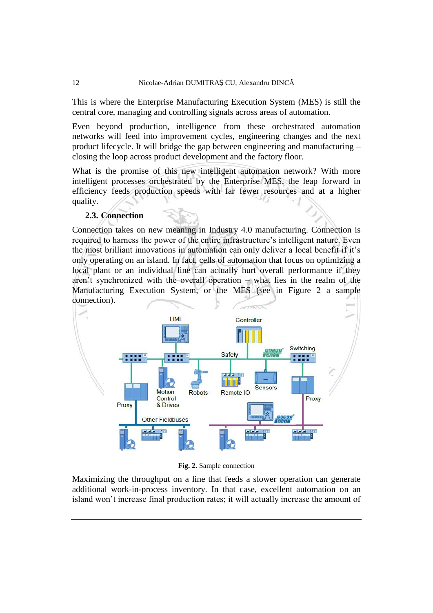This is where the Enterprise Manufacturing Execution System (MES) is still the central core, managing and controlling signals across areas of automation.

Even beyond production, intelligence from these orchestrated automation networks will feed into improvement cycles, engineering changes and the next product lifecycle. It will bridge the gap between engineering and manufacturing – closing the loop across product development and the factory floor.

What is the promise of this new intelligent automation network? With more intelligent processes orchestrated by the Enterprise MES, the leap forward in efficiency feeds production speeds with far fewer resources and at a higher quality.

## **2.3. Connection**

Connection takes on new meaning in Industry 4.0 manufacturing. Connection is required to harness the power of the entire infrastructure's intelligent nature. Even the most brilliant innovations in automation can only deliver a local benefit if it's only operating on an island. In fact, cells of automation that focus on optimizing a local plant or an individual line can actually hurt overall performance if they aren't synchronized with the overall operation – what lies in the realm of the Manufacturing Execution System, or the MES (see in Figure 2 a sample connection).



**Fig. 2.** Sample connection

Maximizing the throughput on a line that feeds a slower operation can generate additional work-in-process inventory. In that case, excellent automation on an island won't increase final production rates; it will actually increase the amount of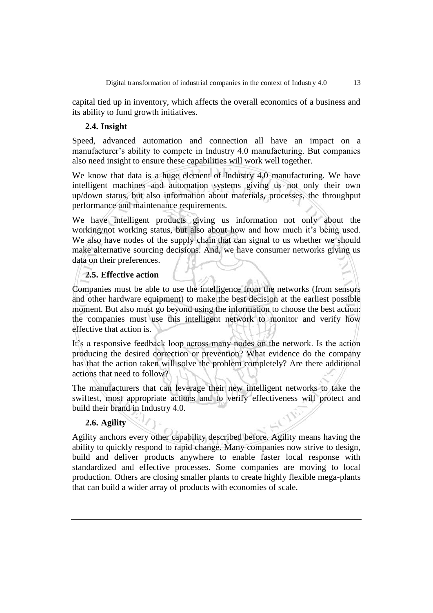capital tied up in inventory, which affects the overall economics of a business and its ability to fund growth initiatives.

## **2.4. Insight**

Speed, advanced automation and connection all have an impact on a manufacturer's ability to compete in Industry 4.0 manufacturing. But companies also need insight to ensure these capabilities will work well together.

We know that data is a huge element of Industry 4.0 manufacturing. We have intelligent machines and automation systems giving us not only their own up/down status, but also information about materials, processes, the throughput performance and maintenance requirements.

We have intelligent products giving us information not only about the working/not working status, but also about how and how much it's being used. We also have nodes of the supply chain that can signal to us whether we should make alternative sourcing decisions. And, we have consumer networks giving us data on their preferences.

## **2.5. Effective action**

Companies must be able to use the intelligence from the networks (from sensors and other hardware equipment) to make the best decision at the earliest possible moment. But also must go beyond using the information to choose the best action: the companies must use this intelligent network to monitor and verify how effective that action is.

It's a responsive feedback loop across many nodes on the network. Is the action producing the desired correction or prevention? What evidence do the company has that the action taken will solve the problem completely? Are there additional actions that need to follow?

The manufacturers that can leverage their new intelligent networks to take the swiftest, most appropriate actions and to verify effectiveness will protect and build their brand in Industry 4.0.

## **2.6. Agility**

Agility anchors every other capability described before. Agility means having the ability to quickly respond to rapid change. Many companies now strive to design, build and deliver products anywhere to enable faster local response with standardized and effective processes. Some companies are moving to local production. Others are closing smaller plants to create highly flexible mega-plants that can build a wider array of products with economies of scale.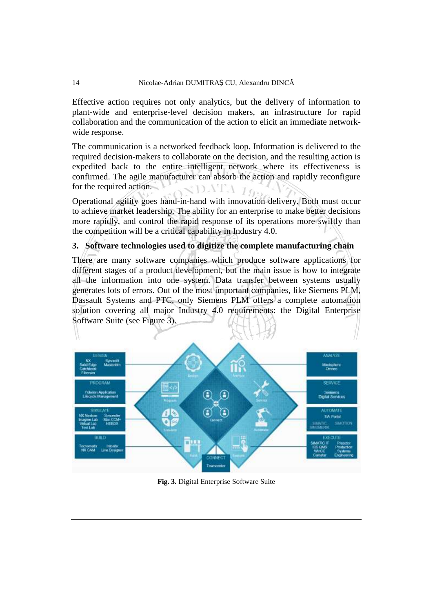Effective action requires not only analytics, but the delivery of information to plant-wide and enterprise-level decision makers, an infrastructure for rapid collaboration and the communication of the action to elicit an immediate networkwide response.

The communication is a networked feedback loop. Information is delivered to the required decision-makers to collaborate on the decision, and the resulting action is expedited back to the entire intelligent network where its effectiveness is confirmed. The agile manufacturer can absorb the action and rapidly reconfigure  $\overline{\text{NDATA}}$  19. for the required action.

Operational agility goes hand-in-hand with innovation delivery. Both must occur to achieve market leadership. The ability for an enterprise to make better decisions more rapidly, and control the rapid response of its operations more swiftly than the competition will be a critical capability in Industry 4.0.

## **3. Software technologies used to digitize the complete manufacturing chain**

There are many software companies which produce software applications for different stages of a product development, but the main issue is how to integrate all the information into one system. Data transfer between systems usually generates lots of errors. Out of the most important companies, like Siemens PLM, Dassault Systems and PTC, only Siemens PLM offers a complete automation solution covering all major Industry 4.0 requirements: the Digital Enterprise Software Suite (see Figure 3).



**Fig. 3.** Digital Enterprise Software Suite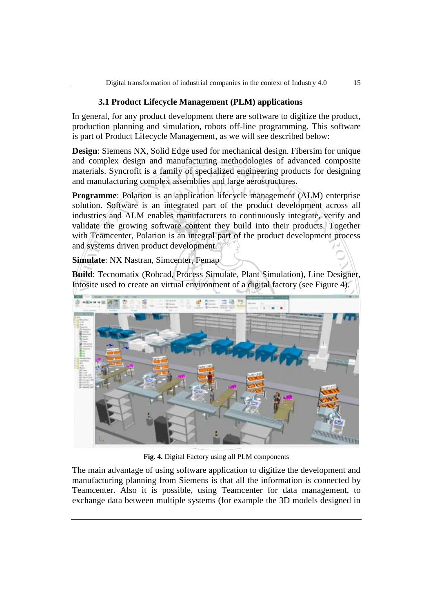## **3.1 Product Lifecycle Management (PLM) applications**

In general, for any product development there are software to digitize the product, production planning and simulation, robots off-line programming. This software is part of Product Lifecycle Management, as we will see described below:

**Design**: Siemens NX, Solid Edge used for mechanical design. Fibersim for unique and complex design and manufacturing methodologies of advanced composite materials. Syncrofit is a family of specialized engineering products for designing and manufacturing complex assemblies and large aerostructures.

**Programme**: Polarion is an application lifecycle management (ALM) enterprise solution. Software is an integrated part of the product development across all industries and ALM enables manufacturers to continuously integrate, verify and validate the growing software content they build into their products. Together with Teamcenter, Polarion is an integral part of the product development process and systems driven product development.

**Simulate**: NX Nastran, Simcenter, Femap

**Build**: Tecnomatix (Robcad, Process Simulate, Plant Simulation), Line Designer, Intosite used to create an virtual environment of a digital factory (see Figure 4).



**Fig. 4.** Digital Factory using all PLM components

The main advantage of using software application to digitize the development and manufacturing planning from Siemens is that all the information is connected by Teamcenter. Also it is possible, using Teamcenter for data management, to exchange data between multiple systems (for example the 3D models designed in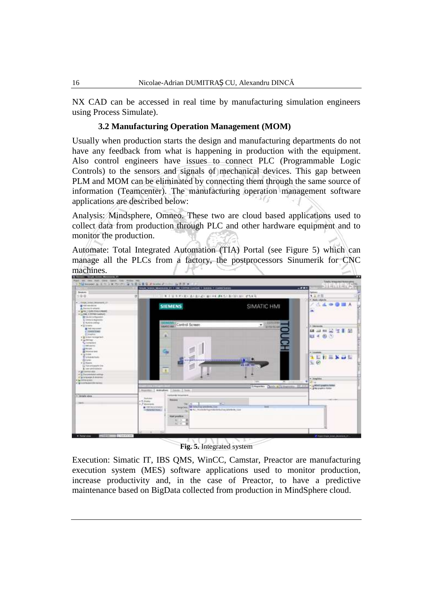NX CAD can be accessed in real time by manufacturing simulation engineers using Process Simulate).

#### **3.2 Manufacturing Operation Management (MOM)**

Usually when production starts the design and manufacturing departments do not have any feedback from what is happening in production with the equipment. Also control engineers have issues to connect PLC (Programmable Logic Controls) to the sensors and signals of mechanical devices. This gap between PLM and MOM can be eliminated by connecting them through the same source of information (Teamcenter). The manufacturing operation management software applications are described below:

Analysis: Mindsphere, Omneo. These two are cloud based applications used to collect data from production through PLC and other hardware equipment and to monitor the production.

Automate: Total Integrated Automation (TIA) Portal (see Figure 5) which can manage all the PLCs from a factory, the postprocessors Sinumerik for CNC machines.



**Fig. 5.** Integrated system

Execution: Simatic IT, IBS QMS, WinCC, Camstar, Preactor are manufacturing execution system (MES) software applications used to monitor production, increase productivity and, in the case of Preactor, to have a predictive maintenance based on BigData collected from production in MindSphere cloud.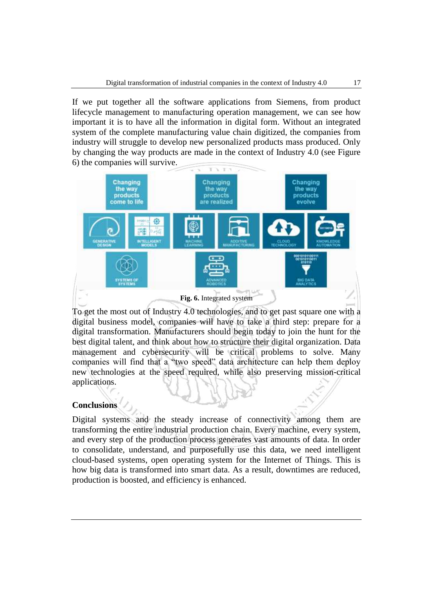If we put together all the software applications from Siemens, from product lifecycle management to manufacturing operation management, we can see how important it is to have all the information in digital form. Without an integrated system of the complete manufacturing value chain digitized, the companies from industry will struggle to develop new personalized products mass produced. Only by changing the way products are made in the context of Industry 4.0 (see Figure 6) the companies will survive.



To get the most out of Industry 4.0 technologies, and to get past square one with a digital business model, companies will have to take a third step: prepare for a digital transformation. Manufacturers should begin today to join the hunt for the best digital talent, and think about how to structure their digital organization. Data management and cybersecurity will be critical problems to solve. Many companies will find that a "two speed" data architecture can help them deploy new technologies at the speed required, while also preserving mission-critical applications.

## **Conclusions**

Digital systems and the steady increase of connectivity among them are transforming the entire industrial production chain. Every machine, every system, and every step of the production process generates vast amounts of data. In order to consolidate, understand, and purposefully use this data, we need intelligent cloud-based systems, open operating system for the Internet of Things. This is how big data is transformed into smart data. As a result, downtimes are reduced, production is boosted, and efficiency is enhanced.